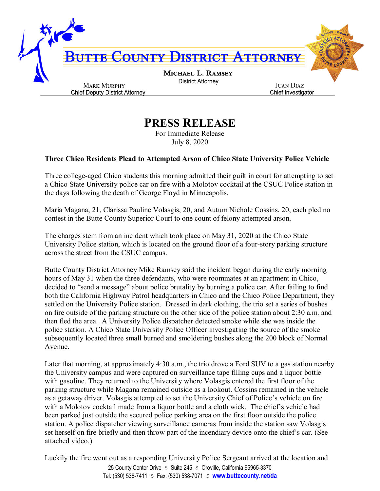

## **PRESS RELEASE**

For Immediate Release July 8, 2020

## **Three Chico Residents Plead to Attempted Arson of Chico State University Police Vehicle**

Three college-aged Chico students this morning admitted their guilt in court for attempting to set a Chico State University police car on fire with a Molotov cocktail at the CSUC Police station in the days following the death of George Floyd in Minneapolis.

Maria Magana, 21, Clarissa Pauline Volasgis, 20, and Autum Nichole Cossins, 20, each pled no contest in the Butte County Superior Court to one count of felony attempted arson.

The charges stem from an incident which took place on May 31, 2020 at the Chico State University Police station, which is located on the ground floor of a four-story parking structure across the street from the CSUC campus.

Butte County District Attorney Mike Ramsey said the incident began during the early morning hours of May 31 when the three defendants, who were roommates at an apartment in Chico, decided to "send a message" about police brutality by burning a police car. After failing to find both the California Highway Patrol headquarters in Chico and the Chico Police Department, they settled on the University Police station. Dressed in dark clothing, the trio set a series of bushes on fire outside of the parking structure on the other side of the police station about 2:30 a.m. and then fled the area. A University Police dispatcher detected smoke while she was inside the police station. A Chico State University Police Officer investigating the source of the smoke subsequently located three small burned and smoldering bushes along the 200 block of Normal Avenue.

Later that morning, at approximately 4:30 a.m., the trio drove a Ford SUV to a gas station nearby the University campus and were captured on surveillance tape filling cups and a liquor bottle with gasoline. They returned to the University where Volasgis entered the first floor of the parking structure while Magana remained outside as a lookout. Cossins remained in the vehicle as a getaway driver. Volasgis attempted to set the University Chief of Police's vehicle on fire with a Molotov cocktail made from a liquor bottle and a cloth wick. The chief's vehicle had been parked just outside the secured police parking area on the first floor outside the police station. A police dispatcher viewing surveillance cameras from inside the station saw Volasgis set herself on fire briefly and then throw part of the incendiary device onto the chief's car. (See attached video.)

25 County Center Drive  $\sin 245$   $\sin 245$  Coroville, California 95965-3370 Tel: (530) 538-7411 \$ Fax: (530) 538-7071 \$ **www.buttecounty.net/da** Luckily the fire went out as a responding University Police Sergeant arrived at the location and